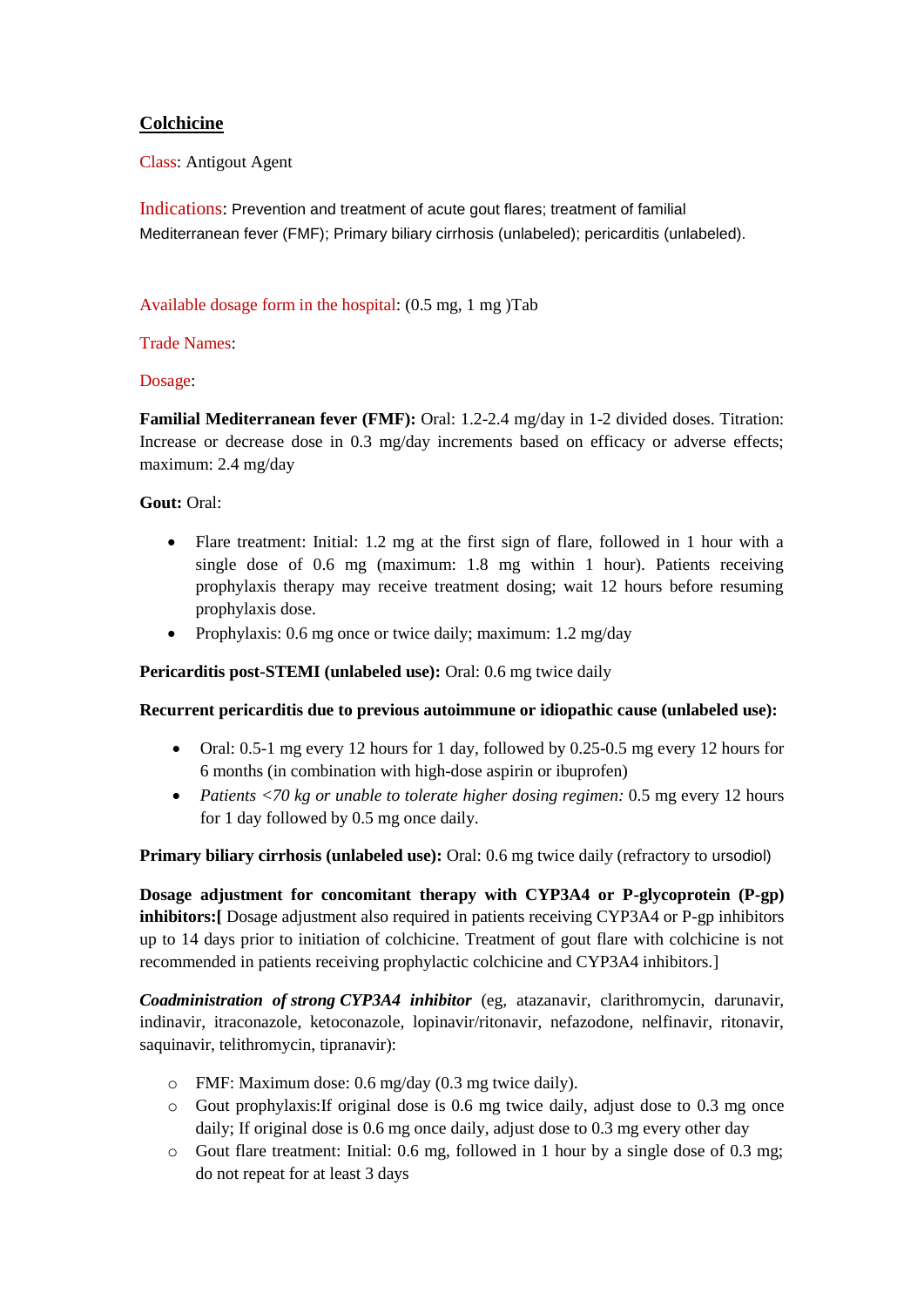# **Colchicine**

Class: Antigout Agent

Indications: Prevention and treatment of acute gout flares; treatment of familial Mediterranean fever (FMF); Primary biliary cirrhosis (unlabeled); pericarditis (unlabeled).

## Available dosage form in the hospital: (0.5 mg, 1 mg )Tab

### Trade Names:

### Dosage:

**Familial Mediterranean fever (FMF):** Oral: 1.2-2.4 mg/day in 1-2 divided doses. Titration: Increase or decrease dose in 0.3 mg/day increments based on efficacy or adverse effects; maximum: 2.4 mg/day

## **Gout:** Oral:

- Flare treatment: Initial: 1.2 mg at the first sign of flare, followed in 1 hour with a single dose of 0.6 mg (maximum: 1.8 mg within 1 hour). Patients receiving prophylaxis therapy may receive treatment dosing; wait 12 hours before resuming prophylaxis dose.
- Prophylaxis: 0.6 mg once or twice daily; maximum: 1.2 mg/day

#### **Pericarditis post-STEMI (unlabeled use):** Oral: 0.6 mg twice daily

#### **Recurrent pericarditis due to previous autoimmune or idiopathic cause (unlabeled use):**

- Oral: 0.5-1 mg every 12 hours for 1 day, followed by 0.25-0.5 mg every 12 hours for 6 months (in combination with high-dose aspirin or ibuprofen)
- *Patients <70 kg or unable to tolerate higher dosing regimen:* 0.5 mg every 12 hours for 1 day followed by 0.5 mg once daily.

**Primary biliary cirrhosis (unlabeled use):** Oral: 0.6 mg twice daily (refractory to ursodiol)

**Dosage adjustment for concomitant therapy with CYP3A4 or P-glycoprotein (P-gp) inhibitors:[** Dosage adjustment also required in patients receiving CYP3A4 or P-gp inhibitors up to 14 days prior to initiation of colchicine. Treatment of gout flare with colchicine is not recommended in patients receiving prophylactic colchicine and CYP3A4 inhibitors.]

*Coadministration of strong CYP3A4 inhibitor* (eg, atazanavir, clarithromycin, darunavir, indinavir, itraconazole, ketoconazole, lopinavir/ritonavir, nefazodone, nelfinavir, ritonavir, saquinavir, telithromycin, tipranavir):

- o FMF: Maximum dose: 0.6 mg/day (0.3 mg twice daily).
- $\circ$  Gout prophylaxis: If original dose is 0.6 mg twice daily, adjust dose to 0.3 mg once daily; If original dose is 0.6 mg once daily, adjust dose to 0.3 mg every other day
- $\circ$  Gout flare treatment: Initial: 0.6 mg, followed in 1 hour by a single dose of 0.3 mg; do not repeat for at least 3 days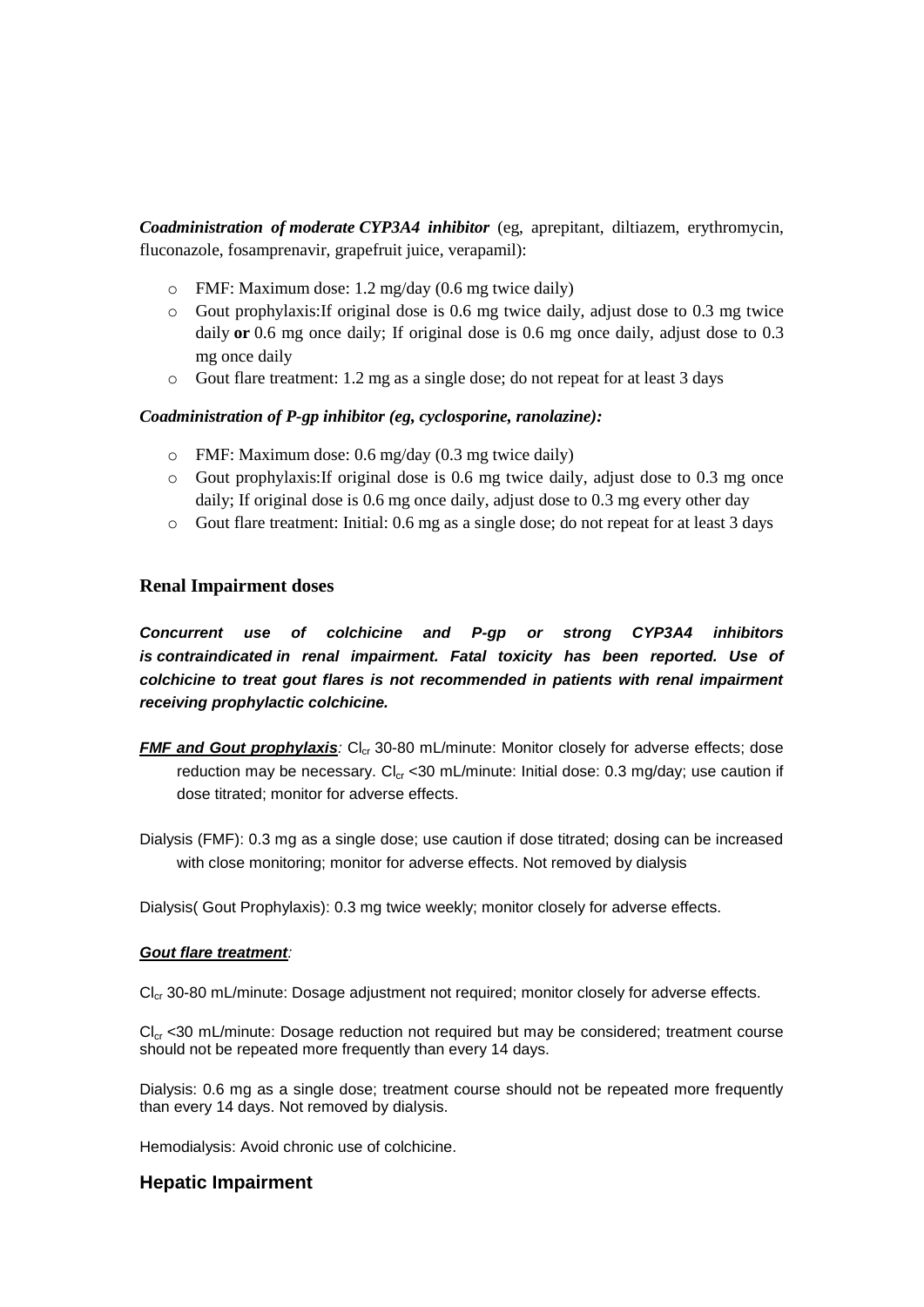*Coadministration of moderate CYP3A4 inhibitor* (eg, aprepitant, diltiazem, erythromycin, fluconazole, fosamprenavir, grapefruit juice, verapamil):

- o FMF: Maximum dose: 1.2 mg/day (0.6 mg twice daily)
- o Gout prophylaxis:If original dose is 0.6 mg twice daily, adjust dose to 0.3 mg twice daily **or** 0.6 mg once daily; If original dose is 0.6 mg once daily, adjust dose to 0.3 mg once daily
- o Gout flare treatment: 1.2 mg as a single dose; do not repeat for at least 3 days

### *Coadministration of P-gp inhibitor (eg, cyclosporine, ranolazine):*

- o FMF: Maximum dose: 0.6 mg/day (0.3 mg twice daily)
- o Gout prophylaxis:If original dose is 0.6 mg twice daily, adjust dose to 0.3 mg once daily; If original dose is 0.6 mg once daily, adjust dose to 0.3 mg every other day
- o Gout flare treatment: Initial: 0.6 mg as a single dose; do not repeat for at least 3 days

## **Renal Impairment doses**

*Concurrent use of colchicine and P-gp or strong CYP3A4 inhibitors is contraindicated in renal impairment. Fatal toxicity has been reported. Use of colchicine to treat gout flares is not recommended in patients with renal impairment receiving prophylactic colchicine.*

*FMF and Gout prophylaxis*: Cl<sub>cr</sub> 30-80 mL/minute: Monitor closely for adverse effects; dose reduction may be necessary.  $Cl_{cr}$  <30 mL/minute: Initial dose: 0.3 mg/day; use caution if dose titrated; monitor for adverse effects.

Dialysis (FMF): 0.3 mg as a single dose; use caution if dose titrated; dosing can be increased with close monitoring; monitor for adverse effects. Not removed by dialysis

Dialysis( Gout Prophylaxis): 0.3 mg twice weekly; monitor closely for adverse effects.

#### *Gout flare treatment:*

Cl<sub>cr</sub> 30-80 mL/minute: Dosage adjustment not required; monitor closely for adverse effects.

 $Cl<sub>cr</sub> < 30$  mL/minute: Dosage reduction not required but may be considered; treatment course should not be repeated more frequently than every 14 days.

Dialysis: 0.6 mg as a single dose; treatment course should not be repeated more frequently than every 14 days. Not removed by dialysis.

Hemodialysis: Avoid chronic use of colchicine.

## **Hepatic Impairment**